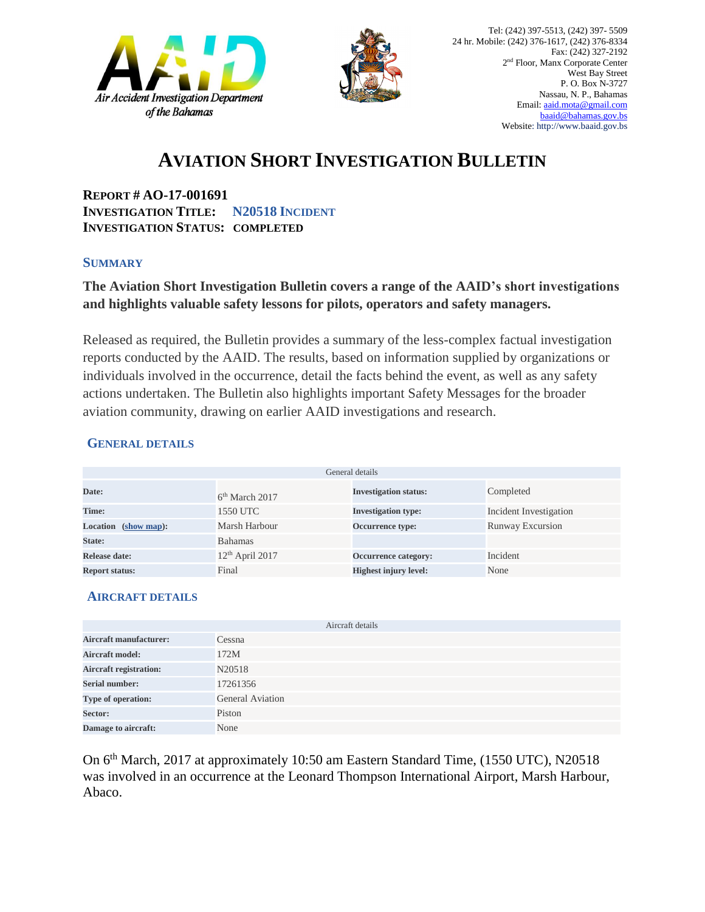



## **AVIATION SHORT INVESTIGATION BULLETIN**

**REPORT # AO-17-001691 INVESTIGATION TITLE: N20518 INCIDENT INVESTIGATION STATUS: COMPLETED**

#### **SUMMARY**

### **The Aviation Short Investigation Bulletin covers a range of the AAID's short investigations and highlights valuable safety lessons for pilots, operators and safety managers.**

Released as required, the Bulletin provides a summary of the less-complex factual investigation reports conducted by the AAID. The results, based on information supplied by organizations or individuals involved in the occurrence, detail the facts behind the event, as well as any safety actions undertaken. The Bulletin also highlights important Safety Messages for the broader aviation community, drawing on earlier AAID investigations and research.

#### **GENERAL DETAILS**

| General details                |                   |                              |                         |
|--------------------------------|-------------------|------------------------------|-------------------------|
| Date:                          | $6th$ March 2017  | <b>Investigation status:</b> | Completed               |
| Time:                          | 1550 UTC          | <b>Investigation type:</b>   | Incident Investigation  |
| <b>Location</b><br>(show map): | Marsh Harbour     | <b>Occurrence type:</b>      | <b>Runway Excursion</b> |
| State:                         | Bahamas           |                              |                         |
| Release date:                  | $12th$ April 2017 | <b>Occurrence category:</b>  | Incident                |
| <b>Report status:</b>          | Final             | <b>Highest injury level:</b> | None                    |

#### **AIRCRAFT DETAILS**

|                               | Aircraft details        |
|-------------------------------|-------------------------|
| <b>Aircraft manufacturer:</b> | Cessna                  |
| <b>Aircraft model:</b>        | 172M                    |
| <b>Aircraft registration:</b> | N20518                  |
| <b>Serial number:</b>         | 17261356                |
| Type of operation:            | <b>General Aviation</b> |
| Sector:                       | Piston                  |
| Damage to aircraft:           | None                    |

On 6<sup>th</sup> March, 2017 at approximately 10:50 am Eastern Standard Time, (1550 UTC), N20518 was involved in an occurrence at the Leonard Thompson International Airport, Marsh Harbour, Abaco.